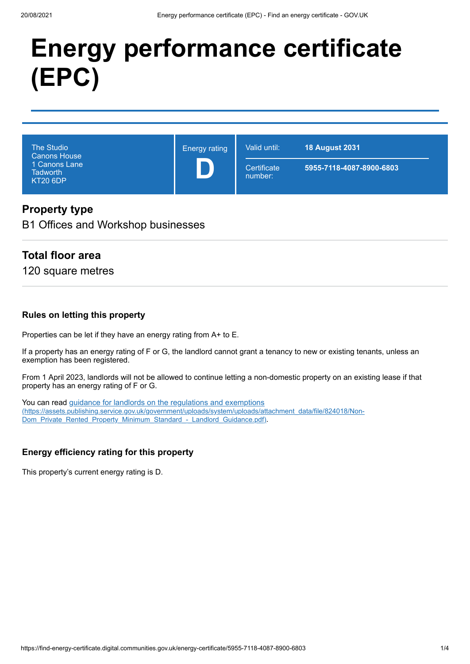# **Energy performance certificate (EPC)**

| <b>The Studio</b><br><b>Canons House</b><br>1 Canons Lane<br><b>Tadworth</b><br><b>KT20 6DP</b> | <b>Energy rating</b> | Valid until:           | <b>18 August 2031</b>    |
|-------------------------------------------------------------------------------------------------|----------------------|------------------------|--------------------------|
|                                                                                                 |                      | Certificate<br>number: | 5955-7118-4087-8900-6803 |

## **Property type**

B1 Offices and Workshop businesses

## **Total floor area**

120 square metres

#### **Rules on letting this property**

Properties can be let if they have an energy rating from A+ to E.

If a property has an energy rating of F or G, the landlord cannot grant a tenancy to new or existing tenants, unless an exemption has been registered.

From 1 April 2023, landlords will not be allowed to continue letting a non-domestic property on an existing lease if that property has an energy rating of F or G.

You can read guidance for landlords on the regulations and exemptions [\(https://assets.publishing.service.gov.uk/government/uploads/system/uploads/attachment\\_data/file/824018/Non-](https://assets.publishing.service.gov.uk/government/uploads/system/uploads/attachment_data/file/824018/Non-Dom_Private_Rented_Property_Minimum_Standard_-_Landlord_Guidance.pdf)Dom\_Private\_Rented\_Property\_Minimum\_Standard\_-\_Landlord\_Guidance.pdf).

#### **Energy efficiency rating for this property**

This property's current energy rating is D.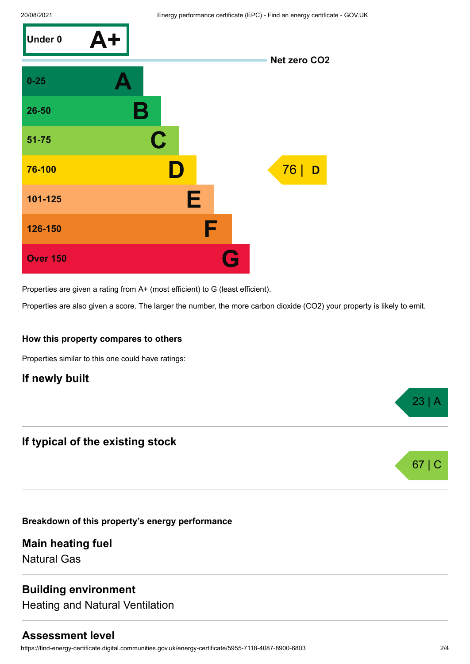

Properties are given a rating from A+ (most efficient) to G (least efficient).

Properties are also given a score. The larger the number, the more carbon dioxide (CO2) your property is likely to emit.

#### **How this property compares to others**

Properties similar to this one could have ratings:

## **If newly built**

## **If typical of the existing stock**

**Breakdown of this property's energy performance**

**Main heating fuel** Natural Gas

# **Building environment**

Heating and Natural Ventilation

#### **Assessment level**

https://find-energy-certificate.digital.communities.gov.uk/energy-certificate/5955-7118-4087-8900-6803 2/4





 $23 \mid A$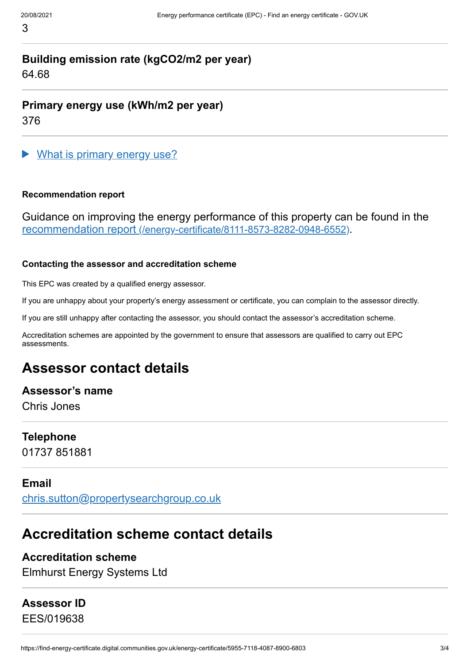# **Building emission rate (kgCO2/m2 per year)** 64.68

**Primary energy use (kWh/m2 per year)** 376

What is primary energy use?

#### **Recommendation report**

Guidance on improving the energy performance of this property can be found in the recommendation report [\(/energy-certificate/8111-8573-8282-0948-6552\)](https://find-energy-certificate.digital.communities.gov.uk/energy-certificate/8111-8573-8282-0948-6552).

#### **Contacting the assessor and accreditation scheme**

This EPC was created by a qualified energy assessor.

If you are unhappy about your property's energy assessment or certificate, you can complain to the assessor directly.

If you are still unhappy after contacting the assessor, you should contact the assessor's accreditation scheme.

Accreditation schemes are appointed by the government to ensure that assessors are qualified to carry out EPC assessments.

# **Assessor contact details**

**Assessor's name**

Chris Jones

# **Telephone**

01737 851881

# **Email**

[chris.sutton@propertysearchgroup.co.uk](mailto:chris.sutton@propertysearchgroup.co.uk)

# **Accreditation scheme contact details**

# **Accreditation scheme**

Elmhurst Energy Systems Ltd

# **Assessor ID**

EES/019638